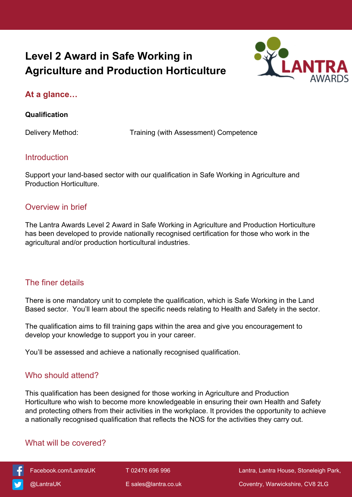# **Level 2 Award in Safe Working in Agriculture and Production Horticulture**



## **At a glance…**

#### **Qualification**

Delivery Method: Training (with Assessment) Competence

### **Introduction**

Support your land-based sector with our qualification in Safe Working in Agriculture and Production Horticulture.

### Overview in brief

The Lantra Awards Level 2 Award in Safe Working in Agriculture and Production Horticulture has been developed to provide nationally recognised certification for those who work in the agricultural and/or production horticultural industries.

## The finer details

There is one mandatory unit to complete the qualification, which is Safe Working in the Land Based sector. You'll learn about the specific needs relating to Health and Safety in the sector.

The qualification aims to fill training gaps within the area and give you encouragement to develop your knowledge to support you in your career.

You'll be assessed and achieve a nationally recognised qualification.

## Who should attend?

This qualification has been designed for those working in Agriculture and Production Horticulture who wish to become more knowledgeable in ensuring their own Health and Safety and protecting others from their activities in the workplace. It provides the opportunity to achieve a nationally recognised qualification that reflects the NOS for the activities they carry out.

## What will be covered?



 [Facebook.com/LantraUK](https://www.facebook.com/LantraUK/) T 02476 696 996 Lantra, Lantra House, Stoneleigh Park, [@LantraUK](http://www.twitter.com/lantrauk) E [sales@lantra.co.uk](mailto:sales@lantra.co.uk) Coventry, Warwickshire, CV8 2LG